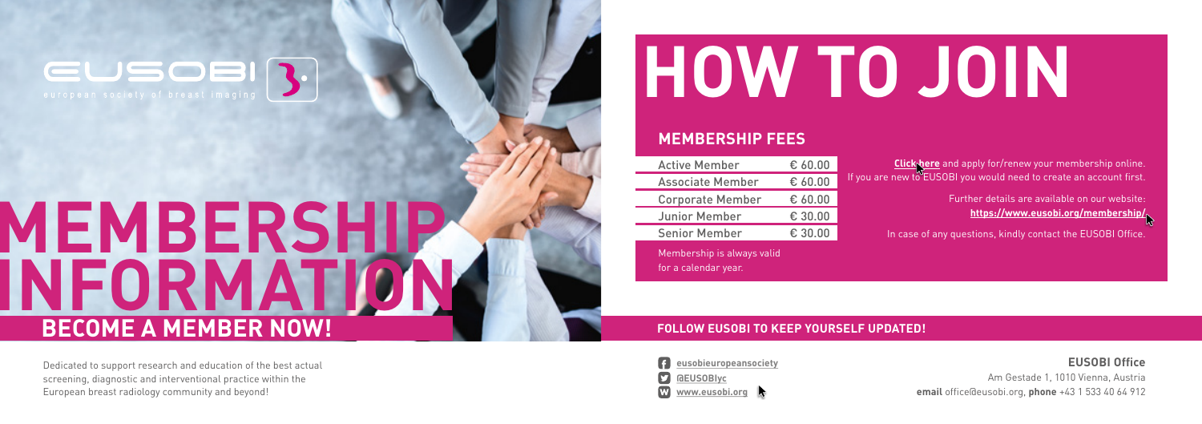#### **MEMBERSHIP FEES**

| <b>Active Member</b>                               | $\epsilon$ 60.00 |            |
|----------------------------------------------------|------------------|------------|
| <b>Associate Member</b>                            | € 60.00          | If you are |
| <b>Corporate Member</b>                            | € 60.00          |            |
| <b>Junior Member</b>                               | € 30.00          |            |
| <b>Senior Member</b>                               | € 30.00          |            |
| Membership is always valid<br>for a calendar year. |                  |            |

# **HOW TO JOIN**

Further details are available on our website: **<https://www.eusobi.org/membership/>**

In case of any questions, kindly contact the EUSOBI Office.

## EUSOE

## **INFORMATI MEMBERSHIP BECOME A MEMBER NOW!**



#### **EUSOBI Office**

Am Gestade 1, 1010 Vienna, Austria **email** office@eusobi.org, **phone** +43 1 533 40 64 912

#### **FOLLOW EUSOBI TO KEEP YOURSELF UPDATED!**

Dedicated to support research and education of the best actual screening, diagnostic and interventional practice within the European breast radiology community and beyond!

**Click<sub>phere</sub>** and apply for/renew your membership online. new to EUSOBI you would need to create an account first.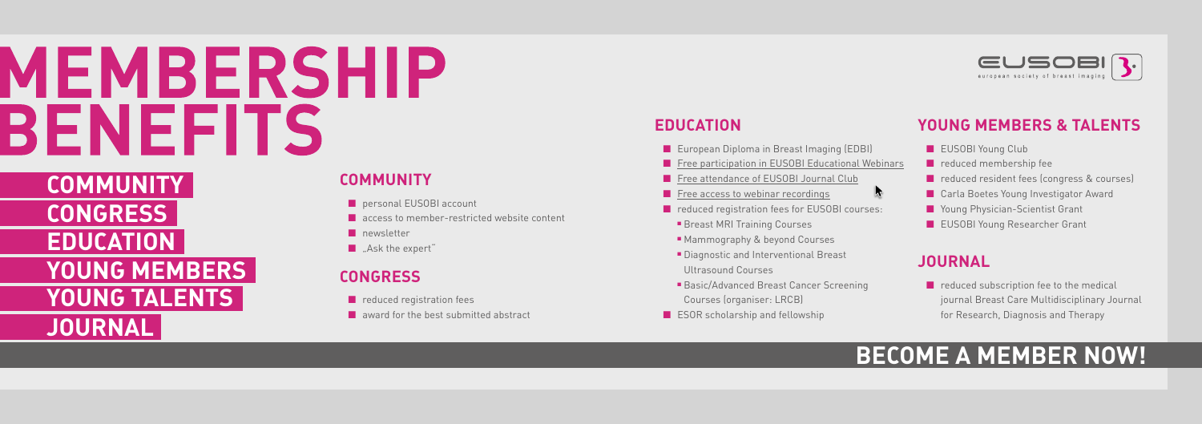# MEMBERSHIP **BENEFITS**



## **BECOME A MEMBER NOW!**

### **EDUCATION**

- European Diploma in Breast Imaging (EDBI)
- Free [participation in EUSOBI Educational Webinars](https://www.eusobi.org/breast-imaging-webinars/)
- Free [attendance of EUSOBI Journal Club](https://www.eusobi.org/breast-imaging-journal-club/)
- [Free access to webinar recordings](https://www.eusobi.org/breast-imaging-webinars/)
- reduced registration fees for EUSOBI courses:
- Breast MRI Training Courses
- Mammography & beyond Courses
- Diagnostic and Interventional Breast Ultrasound Courses
- Basic/Advanced Breast Cancer Screening Courses (organiser: LRCB)
- ESOR scholarship and fellowship



 $\blacktriangleright$ 



■ reduced subscription fee to the medical journal Breast Care Multidisciplinary Journal for Research, Diagnosis and Therapy

#### **COMMUNITY**

- personal EUSOBI account
- access to member-restricted website content
- newsletter
- "Ask the expert"

### **CONGRESS**

- reduced registration fees
- award for the best submitted abstract

### **YOUNG MEMBERS & TALENTS**

- EUSOBI Young Club
- reduced membership fee
- reduced resident fees (congress & courses)
- Carla Boetes Young Investigator Award
- Young Physician-Scientist Grant
- EUSOBI Young Researcher Grant

### **JOURNAL**